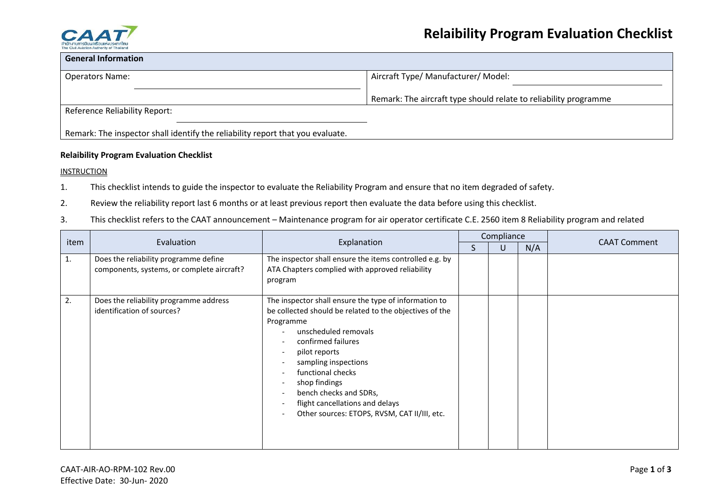

## **Relaibility Program Evaluation Checklist**

| General Information                                                            |                                                                  |
|--------------------------------------------------------------------------------|------------------------------------------------------------------|
| <b>Operators Name:</b>                                                         | Aircraft Type/ Manufacturer/ Model:                              |
|                                                                                | Remark: The aircraft type should relate to reliability programme |
| Reference Reliability Report:                                                  |                                                                  |
| Remark: The inspector shall identify the reliability report that you evaluate. |                                                                  |

### **Relaibility Program Evaluation Checklist**

#### **INSTRUCTION**

- 1. This checklist intends to guide the inspector to evaluate the Reliability Program and ensure that no item degraded of safety.
- 2. Review the reliability report last 6 months or at least previous report then evaluate the data before using this checklist.
- 3. This checklist refers to the CAAT announcement Maintenance program for air operator certificate C.E. 2560 item 8 Reliability program and related

|              |                                                                                     | Explanation                                                                                                                                                                                                                                                                                                                                                                                         | Compliance |   |     |                     |
|--------------|-------------------------------------------------------------------------------------|-----------------------------------------------------------------------------------------------------------------------------------------------------------------------------------------------------------------------------------------------------------------------------------------------------------------------------------------------------------------------------------------------------|------------|---|-----|---------------------|
| item         | Evaluation                                                                          |                                                                                                                                                                                                                                                                                                                                                                                                     | S.         | U | N/A | <b>CAAT Comment</b> |
| $\mathbf{1}$ | Does the reliability programme define<br>components, systems, or complete aircraft? | The inspector shall ensure the items controlled e.g. by<br>ATA Chapters complied with approved reliability<br>program                                                                                                                                                                                                                                                                               |            |   |     |                     |
| 2.           | Does the reliability programme address<br>identification of sources?                | The inspector shall ensure the type of information to<br>be collected should be related to the objectives of the<br>Programme<br>unscheduled removals<br>confirmed failures<br>pilot reports<br>sampling inspections<br>functional checks<br>shop findings<br>bench checks and SDRs,<br>$\overline{\phantom{0}}$<br>flight cancellations and delays<br>Other sources: ETOPS, RVSM, CAT II/III, etc. |            |   |     |                     |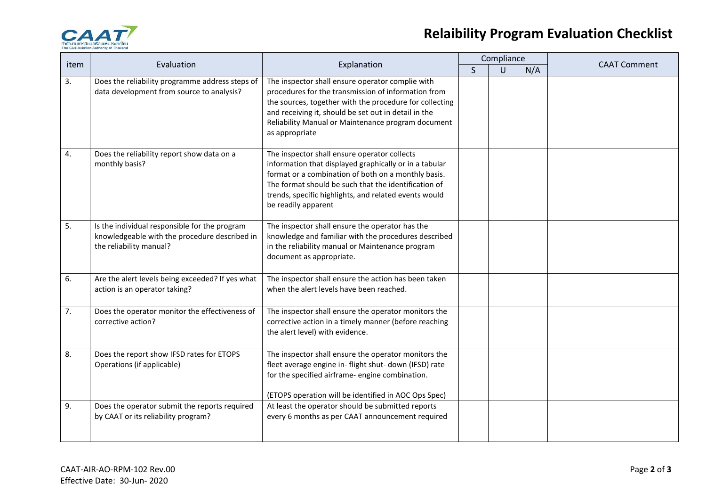

# **Relaibility Program Evaluation Checklist**

| item | Evaluation                                                                                                                | Explanation                                                                                                                                                                                                                                                                                           | Compliance   |   |     | <b>CAAT Comment</b> |
|------|---------------------------------------------------------------------------------------------------------------------------|-------------------------------------------------------------------------------------------------------------------------------------------------------------------------------------------------------------------------------------------------------------------------------------------------------|--------------|---|-----|---------------------|
|      |                                                                                                                           |                                                                                                                                                                                                                                                                                                       | <sub>S</sub> | U | N/A |                     |
| 3.   | Does the reliability programme address steps of<br>data development from source to analysis?                              | The inspector shall ensure operator complie with<br>procedures for the transmission of information from<br>the sources, together with the procedure for collecting<br>and receiving it, should be set out in detail in the<br>Reliability Manual or Maintenance program document<br>as appropriate    |              |   |     |                     |
| 4.   | Does the reliability report show data on a<br>monthly basis?                                                              | The inspector shall ensure operator collects<br>information that displayed graphically or in a tabular<br>format or a combination of both on a monthly basis.<br>The format should be such that the identification of<br>trends, specific highlights, and related events would<br>be readily apparent |              |   |     |                     |
| 5.   | Is the individual responsible for the program<br>knowledgeable with the procedure described in<br>the reliability manual? | The inspector shall ensure the operator has the<br>knowledge and familiar with the procedures described<br>in the reliability manual or Maintenance program<br>document as appropriate.                                                                                                               |              |   |     |                     |
| 6.   | Are the alert levels being exceeded? If yes what<br>action is an operator taking?                                         | The inspector shall ensure the action has been taken<br>when the alert levels have been reached.                                                                                                                                                                                                      |              |   |     |                     |
| 7.   | Does the operator monitor the effectiveness of<br>corrective action?                                                      | The inspector shall ensure the operator monitors the<br>corrective action in a timely manner (before reaching<br>the alert level) with evidence.                                                                                                                                                      |              |   |     |                     |
| 8.   | Does the report show IFSD rates for ETOPS<br>Operations (if applicable)                                                   | The inspector shall ensure the operator monitors the<br>fleet average engine in- flight shut- down (IFSD) rate<br>for the specified airframe-engine combination.<br>(ETOPS operation will be identified in AOC Ops Spec)                                                                              |              |   |     |                     |
| 9.   | Does the operator submit the reports required<br>by CAAT or its reliability program?                                      | At least the operator should be submitted reports<br>every 6 months as per CAAT announcement required                                                                                                                                                                                                 |              |   |     |                     |